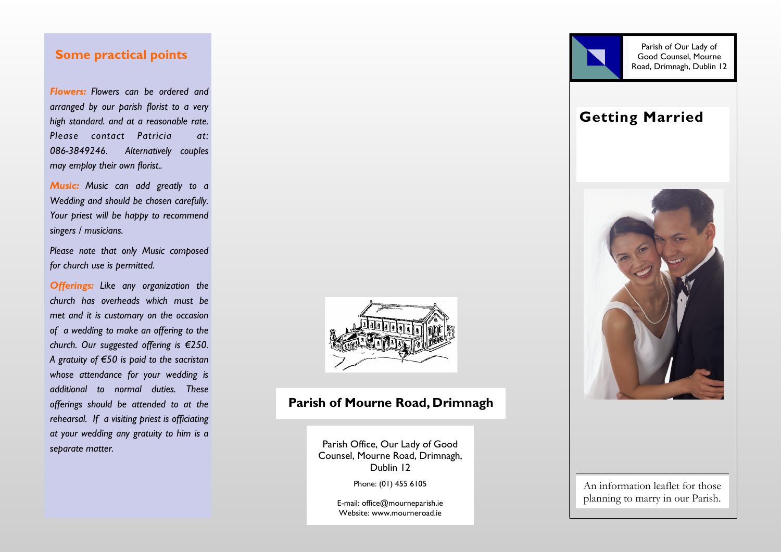# **Some practical points**

*Flowers: Flowers can be ordered and arranged by our parish florist to a very high standard. and at a reasonable rate. Please contact Patricia at: 086-3849246. Alternatively couples may employ their own florist..*

*Music: Music can add greatly to a Wedding and should be chosen carefully. Your priest will be happy to recommend singers / musicians.*

*Please note that only Music composed for church use is permitted.*

*Offerings: Like any organization the church has overheads which must be met and it is customary on the occasion of a wedding to make an offering to the church. Our suggested offering is €250. A gratuity of €50 is paid to the sacristan whose attendance for your wedding is additional to normal duties. These offerings should be attended to at the rehearsal. If a visiting priest is officiating at your wedding any gratuity to him is a separate matter.*



# **Parish of Mourne Road, Drimnagh**

Parish Office, Our Lady of Good Counsel, Mourne Road, Drimnagh, Dublin 12

Phone: (01) 455 6105

E-mail: office@mourneparish.ie Website: www.mourneroad.ie





**Getting Married**